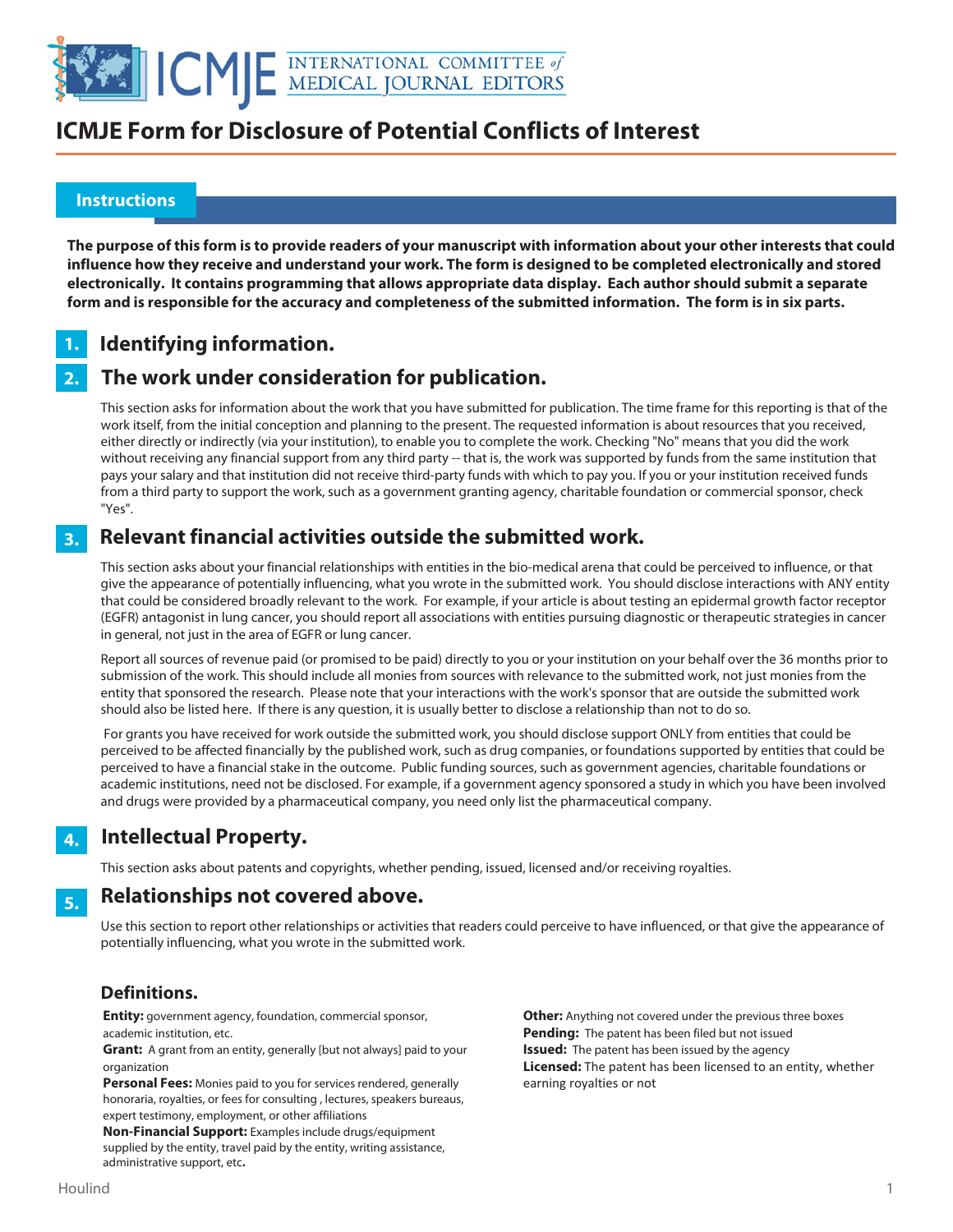

## **ICMJE Form for Disclosure of Potential Conflicts of Interest**

#### **Instructions**

֚֬

**The purpose of this form is to provide readers of your manuscript with information about your other interests that could influence how they receive and understand your work. The form is designed to be completed electronically and stored electronically. It contains programming that allows appropriate data display. Each author should submit a separate form and is responsible for the accuracy and completeness of the submitted information. The form is in six parts.** 

#### **Identifying information. 1.**

#### **The work under consideration for publication. 2.**

This section asks for information about the work that you have submitted for publication. The time frame for this reporting is that of the work itself, from the initial conception and planning to the present. The requested information is about resources that you received, either directly or indirectly (via your institution), to enable you to complete the work. Checking "No" means that you did the work without receiving any financial support from any third party -- that is, the work was supported by funds from the same institution that pays your salary and that institution did not receive third-party funds with which to pay you. If you or your institution received funds from a third party to support the work, such as a government granting agency, charitable foundation or commercial sponsor, check "Yes".

#### **Relevant financial activities outside the submitted work. 3.**

This section asks about your financial relationships with entities in the bio-medical arena that could be perceived to influence, or that give the appearance of potentially influencing, what you wrote in the submitted work. You should disclose interactions with ANY entity that could be considered broadly relevant to the work. For example, if your article is about testing an epidermal growth factor receptor (EGFR) antagonist in lung cancer, you should report all associations with entities pursuing diagnostic or therapeutic strategies in cancer in general, not just in the area of EGFR or lung cancer.

Report all sources of revenue paid (or promised to be paid) directly to you or your institution on your behalf over the 36 months prior to submission of the work. This should include all monies from sources with relevance to the submitted work, not just monies from the entity that sponsored the research. Please note that your interactions with the work's sponsor that are outside the submitted work should also be listed here. If there is any question, it is usually better to disclose a relationship than not to do so.

 For grants you have received for work outside the submitted work, you should disclose support ONLY from entities that could be perceived to be affected financially by the published work, such as drug companies, or foundations supported by entities that could be perceived to have a financial stake in the outcome. Public funding sources, such as government agencies, charitable foundations or academic institutions, need not be disclosed. For example, if a government agency sponsored a study in which you have been involved and drugs were provided by a pharmaceutical company, you need only list the pharmaceutical company.

#### **Intellectual Property. 4.**

This section asks about patents and copyrights, whether pending, issued, licensed and/or receiving royalties.

#### **Relationships not covered above. 5.**

Use this section to report other relationships or activities that readers could perceive to have influenced, or that give the appearance of potentially influencing, what you wrote in the submitted work.

### **Definitions.**

**Entity:** government agency, foundation, commercial sponsor, academic institution, etc.

**Grant:** A grant from an entity, generally [but not always] paid to your organization

**Personal Fees:** Monies paid to you for services rendered, generally honoraria, royalties, or fees for consulting , lectures, speakers bureaus, expert testimony, employment, or other affiliations

**Non-Financial Support:** Examples include drugs/equipment supplied by the entity, travel paid by the entity, writing assistance, administrative support, etc**.**

**Other:** Anything not covered under the previous three boxes **Pending:** The patent has been filed but not issued **Issued:** The patent has been issued by the agency **Licensed:** The patent has been licensed to an entity, whether earning royalties or not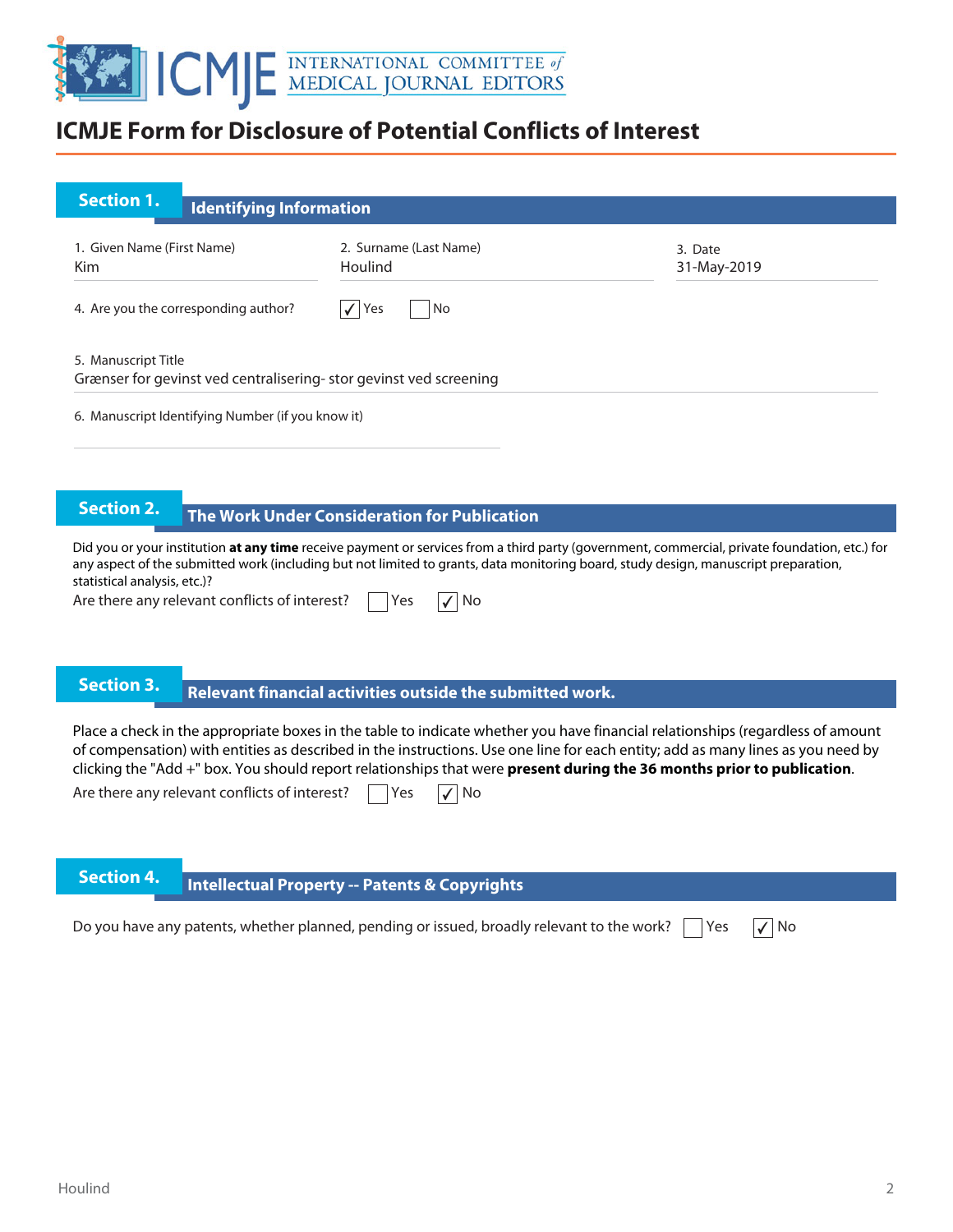

## **ICMJE Form for Disclosure of Potential Conflicts of Interest**

| <b>Section 1.</b>                                                                        | <b>Identifying Information</b> |                                   |                        |
|------------------------------------------------------------------------------------------|--------------------------------|-----------------------------------|------------------------|
| 1. Given Name (First Name)<br><b>Kim</b>                                                 |                                | 2. Surname (Last Name)<br>Houlind | 3. Date<br>31-May-2019 |
| 4. Are you the corresponding author?                                                     |                                | $\sqrt{Y}$<br>No                  |                        |
| 5. Manuscript Title<br>Grænser for gevinst ved centralisering-stor gevinst ved screening |                                |                                   |                        |
| 6. Manuscript Identifying Number (if you know it)                                        |                                |                                   |                        |

# **The Work Under Consideration for Publication**

Did you or your institution **at any time** receive payment or services from a third party (government, commercial, private foundation, etc.) for any aspect of the submitted work (including but not limited to grants, data monitoring board, study design, manuscript preparation, statistical analysis, etc.)?

Are there any relevant conflicts of interest?  $\Box$  Yes  $\Box$  No

## **Relevant financial activities outside the submitted work. Section 3. Relevant financial activities outset**

Place a check in the appropriate boxes in the table to indicate whether you have financial relationships (regardless of amount of compensation) with entities as described in the instructions. Use one line for each entity; add as many lines as you need by clicking the "Add +" box. You should report relationships that were **present during the 36 months prior to publication**.

Are there any relevant conflicts of interest?  $\Box$  Yes  $\Box$  No

# **Intellectual Property -- Patents & Copyrights**

Do you have any patents, whether planned, pending or issued, broadly relevant to the work?  $\vert \ \vert$  Yes  $\vert \sqrt{\vert N}$